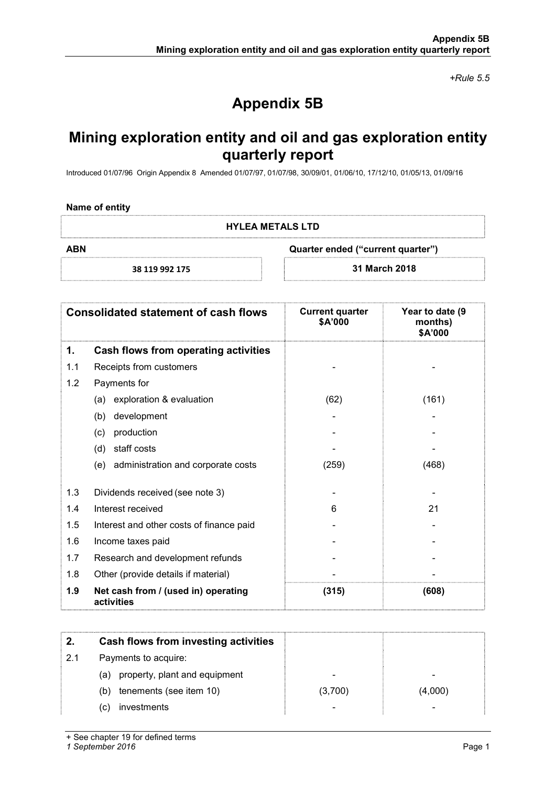+Rule 5.5

# Appendix 5B

## Mining exploration entity and oil and gas exploration entity quarterly report

Introduced 01/07/96 Origin Appendix 8 Amended 01/07/97, 01/07/98, 30/09/01, 01/06/10, 17/12/10, 01/05/13, 01/09/16

### Name of entity

HYLEA METALS LTD

ABN Quarter ended ("current quarter")

38 119 992 175 31 March 2018

|     | <b>Consolidated statement of cash flows</b>       | <b>Current quarter</b><br>\$A'000 | Year to date (9<br>months)<br>\$A'000 |
|-----|---------------------------------------------------|-----------------------------------|---------------------------------------|
| 1.  | Cash flows from operating activities              |                                   |                                       |
| 1.1 | Receipts from customers                           |                                   |                                       |
| 1.2 | Payments for                                      |                                   |                                       |
|     | (a) exploration & evaluation                      | (62)                              | (161)                                 |
|     | development<br>(b)                                |                                   |                                       |
|     | production<br>(c)                                 |                                   |                                       |
|     | staff costs<br>(d)                                |                                   |                                       |
|     | (e) administration and corporate costs            | (259)                             | (468)                                 |
| 1.3 | Dividends received (see note 3)                   |                                   |                                       |
| 1.4 | Interest received                                 | 6                                 | 21                                    |
| 1.5 | Interest and other costs of finance paid          |                                   |                                       |
| 1.6 | Income taxes paid                                 |                                   |                                       |
| 1.7 | Research and development refunds                  |                                   |                                       |
| 1.8 | Other (provide details if material)               |                                   |                                       |
| 1.9 | Net cash from / (used in) operating<br>activities | (315)                             | (608)                                 |

|     | Cash flows from investing activities |         |         |
|-----|--------------------------------------|---------|---------|
| 2.1 | Payments to acquire:                 |         |         |
|     | (a) property, plant and equipment    |         |         |
|     | tenements (see item 10)<br>(b)       | (3,700) | (4,000) |
|     | investments<br>(C)                   |         | -       |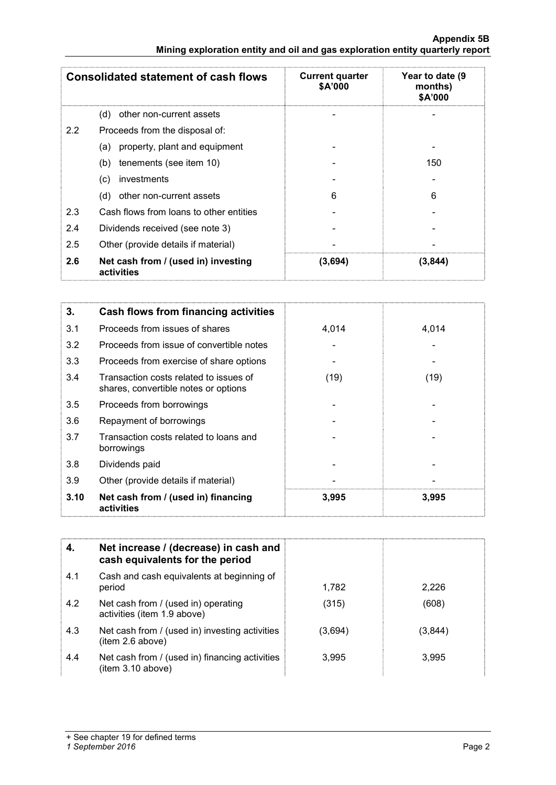| <b>Consolidated statement of cash flows</b> |                                                   | <b>Current quarter</b><br>\$A'000 | Year to date (9<br>months)<br>\$A'000 |
|---------------------------------------------|---------------------------------------------------|-----------------------------------|---------------------------------------|
|                                             | (d)<br>other non-current assets                   |                                   |                                       |
| 2.2                                         | Proceeds from the disposal of:                    |                                   |                                       |
|                                             | property, plant and equipment<br>(a)              |                                   |                                       |
|                                             | tenements (see item 10)<br>(b)                    |                                   | 150                                   |
|                                             | (c)<br>investments                                |                                   |                                       |
|                                             | (d)<br>other non-current assets                   | 6                                 | 6                                     |
| 2.3                                         | Cash flows from loans to other entities           |                                   |                                       |
| 2.4                                         | Dividends received (see note 3)                   |                                   |                                       |
| 2.5                                         | Other (provide details if material)               |                                   |                                       |
| 2.6                                         | Net cash from / (used in) investing<br>activities | (3,694)                           | (3, 844)                              |

| 3.   | Cash flows from financing activities                                           |       |       |
|------|--------------------------------------------------------------------------------|-------|-------|
| 3.1  | Proceeds from issues of shares                                                 | 4,014 | 4,014 |
| 3.2  | Proceeds from issue of convertible notes                                       |       |       |
| 3.3  | Proceeds from exercise of share options                                        |       |       |
| 3.4  | Transaction costs related to issues of<br>shares, convertible notes or options | (19)  | (19)  |
| 3.5  | Proceeds from borrowings                                                       |       |       |
| 3.6  | Repayment of borrowings                                                        |       |       |
| 3.7  | Transaction costs related to loans and<br>borrowings                           |       |       |
| 3.8  | Dividends paid                                                                 |       |       |
| 3.9  | Other (provide details if material)                                            |       |       |
| 3.10 | Net cash from / (used in) financing<br>activities                              | 3,995 | 3,995 |

| 4.  | Net increase / (decrease) in cash and<br>cash equivalents for the period |         |         |
|-----|--------------------------------------------------------------------------|---------|---------|
| 4.1 | Cash and cash equivalents at beginning of<br>period                      | 1,782   | 2,226   |
| 4.2 | Net cash from / (used in) operating<br>activities (item 1.9 above)       | (315)   | (608)   |
| 4.3 | Net cash from / (used in) investing activities<br>(item 2.6 above)       | (3,694) | (3,844) |
| 4.4 | Net cash from / (used in) financing activities<br>(item 3.10 above)      | 3,995   | 3,995   |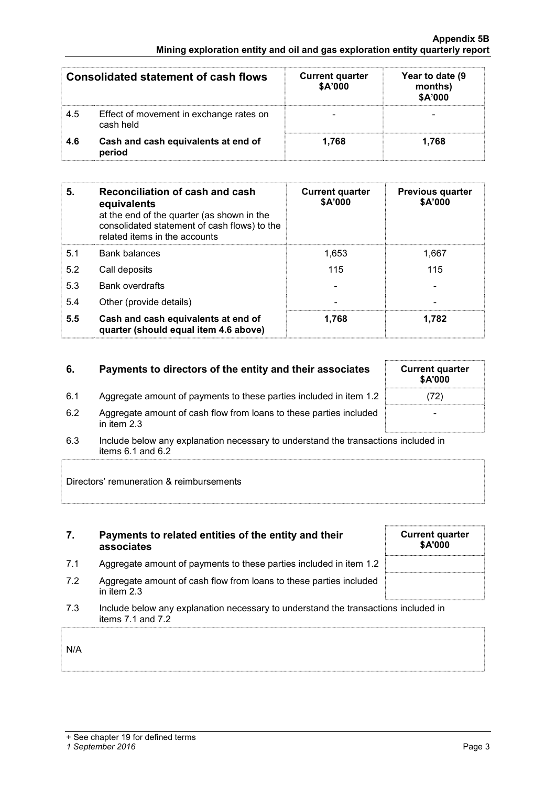| <b>Consolidated statement of cash flows</b> |                                                      | <b>Current quarter</b><br><b>\$A'000</b> | Year to date (9<br>months)<br>\$A'000 |
|---------------------------------------------|------------------------------------------------------|------------------------------------------|---------------------------------------|
| 4.5                                         | Effect of movement in exchange rates on<br>cash held |                                          |                                       |
| 4.6                                         | Cash and cash equivalents at end of<br>period        | 1,768                                    | 1.768                                 |

| 5.  | Reconciliation of cash and cash<br>equivalents<br>at the end of the quarter (as shown in the<br>consolidated statement of cash flows) to the<br>related items in the accounts | <b>Current quarter</b><br>\$A'000 | <b>Previous quarter</b><br>\$A'000 |
|-----|-------------------------------------------------------------------------------------------------------------------------------------------------------------------------------|-----------------------------------|------------------------------------|
| 5.1 | <b>Bank balances</b>                                                                                                                                                          | 1.653                             | 1.667                              |
| 5.2 | Call deposits                                                                                                                                                                 | 115                               | 115                                |
| 5.3 | <b>Bank overdrafts</b>                                                                                                                                                        |                                   |                                    |
| 5.4 | Other (provide details)                                                                                                                                                       | $\overline{\phantom{0}}$          |                                    |
| 5.5 | Cash and cash equivalents at end of<br>quarter (should equal item 4.6 above)                                                                                                  | 1.768                             | 1.782                              |

| 6.  | Payments to directors of the entity and their associates                            | <b>Current quarter</b><br><b>SA'000</b> |
|-----|-------------------------------------------------------------------------------------|-----------------------------------------|
| 6.1 | Aggregate amount of payments to these parties included in item 1.2                  | (72)                                    |
| 6.2 | Aggregate amount of cash flow from loans to these parties included<br>in item $2.3$ | $\blacksquare$                          |

6.3 Include below any explanation necessary to understand the transactions included in items 6.1 and 6.2

Directors' remuneration & reimbursements

7. Payments to related entities of the entity and their associates Current quarter \$A'000 7.1 Aggregate amount of payments to these parties included in item 1.2 7.2 Aggregate amount of cash flow from loans to these parties included in item 2.3 7.3 Include below any explanation necessary to understand the transactions included in items 7.1 and 7.2

| N/A |  |  |  |  |
|-----|--|--|--|--|
|     |  |  |  |  |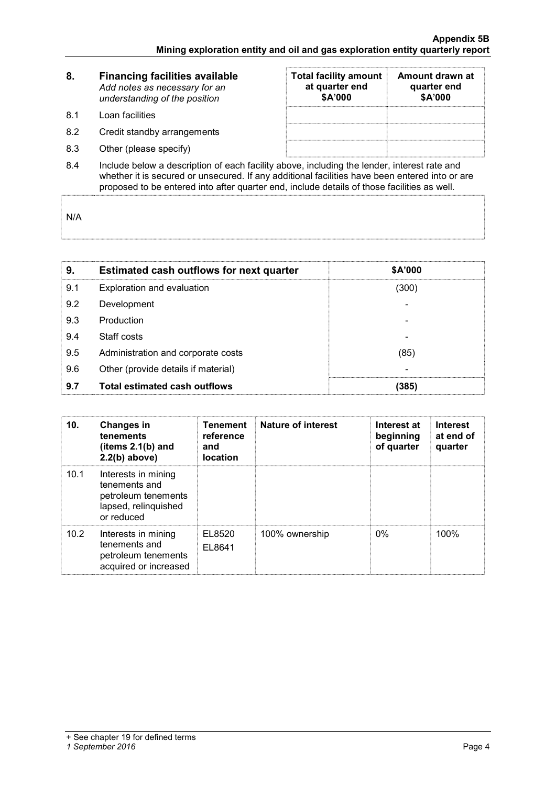| 8.         | <b>Financing facilities available</b><br>Add notes as necessary for an<br>understanding of the position | <b>Total facility amount</b><br>at quarter end<br>\$A'000 | Amount drawn at<br>quarter end<br>\$A'000 |  |  |
|------------|---------------------------------------------------------------------------------------------------------|-----------------------------------------------------------|-------------------------------------------|--|--|
| <b>8.1</b> | Loan facilities                                                                                         |                                                           |                                           |  |  |
| 8.2        | Credit standby arrangements                                                                             |                                                           |                                           |  |  |
| 8.3        | Other (please specify)                                                                                  |                                                           |                                           |  |  |
| 8.4        | Include below a description of each facility above, including the lender, interest rate and             |                                                           |                                           |  |  |

8.4 Include below a description of each facility above, including the lender, interest rate and whether it is secured or unsecured. If any additional facilities have been entered into or are proposed to be entered into after quarter end, include details of those facilities as well.

N/A

| 9.  | <b>Estimated cash outflows for next quarter</b> | \$A'000 |
|-----|-------------------------------------------------|---------|
| 9.1 | Exploration and evaluation                      | (300)   |
| 9.2 | Development                                     |         |
| 9.3 | Production                                      |         |
| 9.4 | Staff costs                                     |         |
| 9.5 | Administration and corporate costs              | (85)    |
| 9.6 | Other (provide details if material)             |         |
| 9.7 | Total estimated cash outflows                   | (385)   |

| 10.  | Changes in<br>tenements<br>(items $2.1(b)$ and<br>$2.2(b)$ above)                                 | <b>Tenement</b><br>reference<br>and<br><b>location</b> | Nature of interest | Interest at<br>beginning<br>of quarter | <b>Interest</b><br>at end of<br>quarter |
|------|---------------------------------------------------------------------------------------------------|--------------------------------------------------------|--------------------|----------------------------------------|-----------------------------------------|
| 10.1 | Interests in mining<br>tenements and<br>petroleum tenements<br>lapsed, relinquished<br>or reduced |                                                        |                    |                                        |                                         |
| 10.2 | Interests in mining<br>tenements and<br>petroleum tenements<br>acquired or increased              | EL8520<br>EL8641                                       | 100% ownership     | $0\%$                                  | 100%                                    |